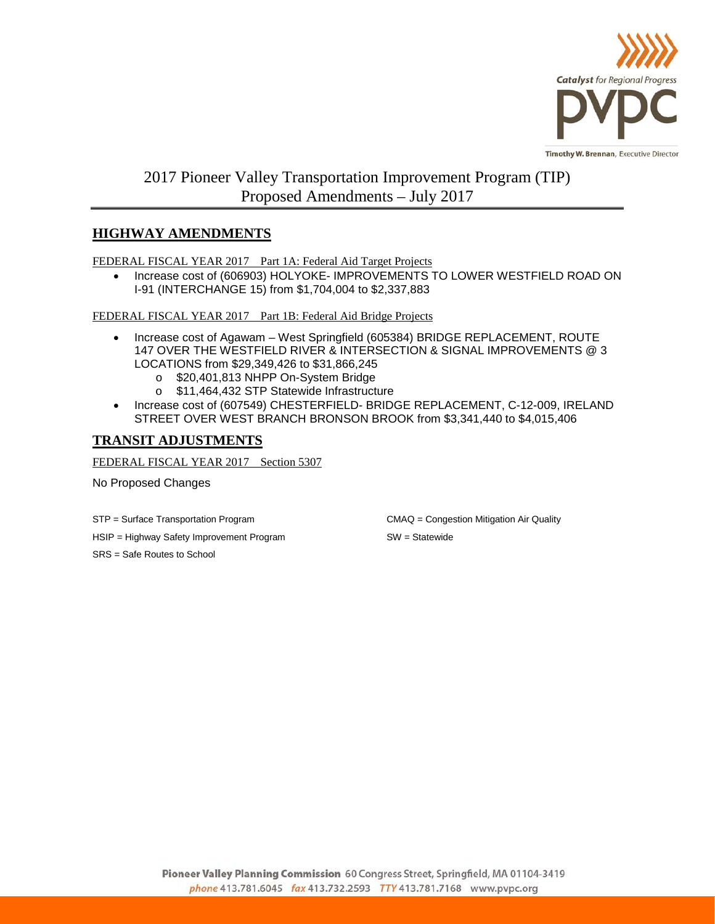

## 2017 Pioneer Valley Transportation Improvement Program (TIP) Proposed Amendments – July 2017

## **HIGHWAY AMENDMENTS**

FEDERAL FISCAL YEAR 2017 Part 1A: Federal Aid Target Projects

• Increase cost of (606903) HOLYOKE- IMPROVEMENTS TO LOWER WESTFIELD ROAD ON I-91 (INTERCHANGE 15) from \$1,704,004 to \$2,337,883

FEDERAL FISCAL YEAR 2017 Part 1B: Federal Aid Bridge Projects

- Increase cost of Agawam West Springfield (605384) BRIDGE REPLACEMENT, ROUTE 147 OVER THE WESTFIELD RIVER & INTERSECTION & SIGNAL IMPROVEMENTS @ 3 LOCATIONS from \$29,349,426 to \$31,866,245
	- o \$20,401,813 NHPP On-System Bridge
	- o \$11,464,432 STP Statewide Infrastructure
- Increase cost of (607549) CHESTERFIELD- BRIDGE REPLACEMENT, C-12-009, IRELAND STREET OVER WEST BRANCH BRONSON BROOK from \$3,341,440 to \$4,015,406

## **TRANSIT ADJUSTMENTS**

FEDERAL FISCAL YEAR 2017 Section 5307

No Proposed Changes

HSIP = Highway Safety Improvement Program SW = Statewide

SRS = Safe Routes to School

STP = Surface Transportation Program CMAQ = Congestion Mitigation Air Quality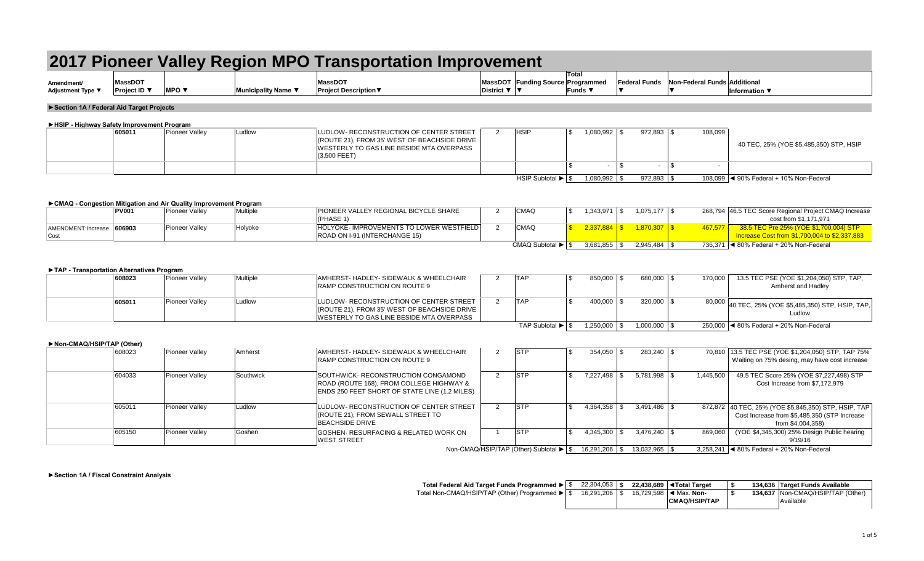| Amendment/<br>Adjustment Type ▼                                    |                         |                                 |                     |                                                                                                                                     |                |                                               | <b>Total</b>               |                |      |                      |                                     |                                                                                         |
|--------------------------------------------------------------------|-------------------------|---------------------------------|---------------------|-------------------------------------------------------------------------------------------------------------------------------------|----------------|-----------------------------------------------|----------------------------|----------------|------|----------------------|-------------------------------------|-----------------------------------------------------------------------------------------|
|                                                                    | MassDOT<br>Proiect ID ▼ | <b>MPO</b> $\blacktriangledown$ | Municipality Name ▼ | <b>MassDOT</b><br><b>Project Description</b> ▼                                                                                      | District ▼ V   | MassDOT Funding Source Programmed             | Funds $\blacktriangledown$ |                |      | <b>Federal Funds</b> | <b>Non-Federal Funds Additional</b> | Information $\Psi$                                                                      |
|                                                                    |                         |                                 |                     |                                                                                                                                     |                |                                               |                            |                |      |                      |                                     |                                                                                         |
| Section 1A / Federal Aid Target Projects                           |                         |                                 |                     |                                                                                                                                     |                |                                               |                            |                |      |                      |                                     |                                                                                         |
|                                                                    |                         |                                 |                     |                                                                                                                                     |                |                                               |                            |                |      |                      |                                     |                                                                                         |
| ► HSIP - Highway Safety Improvement Program                        | 605011                  | Pioneer Valley                  | Ludlow              | LUDLOW- RECONSTRUCTION OF CENTER STREET                                                                                             | $\overline{2}$ | <b>HSIP</b>                                   | \$                         | 1,080,992 \$   |      | 972,893 \$           | 108,099                             |                                                                                         |
|                                                                    |                         |                                 |                     | (ROUTE 21), FROM 35' WEST OF BEACHSIDE DRIVE<br>WESTERLY TO GAS LINE BESIDE MTA OVERPASS<br>(3,500 FEET)                            |                |                                               |                            |                |      |                      |                                     | 40 TEC, 25% (YOE \$5,485,350) STP, HSIP                                                 |
|                                                                    |                         |                                 |                     |                                                                                                                                     |                |                                               | \$                         | $\sim$         | l \$ | $\blacksquare$       | \$                                  |                                                                                         |
|                                                                    |                         |                                 |                     |                                                                                                                                     |                | HSIP Subtotal $\blacktriangleright$ $\mid$ \$ |                            | $1.080.992$ \$ |      | $972.893$ \$         |                                     | 108.099   ◀ 90% Federal + 10% Non-Federal                                               |
|                                                                    |                         |                                 |                     |                                                                                                                                     |                |                                               |                            |                |      |                      |                                     |                                                                                         |
| ► CMAQ - Congestion Mitigation and Air Quality Improvement Program |                         |                                 |                     |                                                                                                                                     |                |                                               |                            |                |      |                      |                                     |                                                                                         |
|                                                                    | <b>PV001</b>            | Pioneer Valley                  | Multiple            | PIONEER VALLEY REGIONAL BICYCLE SHARE<br>(PHASE 1)                                                                                  | 2              | CMAQ                                          | \$                         | $1,343,971$ \$ |      | $1,075,177$ \$       |                                     | 268,794 46.5 TEC Score Regional Project CMAQ Increase<br>cost from \$1.171.971          |
| AMENDMENT: Increase<br>Cost                                        | 606903                  | <b>Pioneer Valley</b>           | Holyoke             | HOLYOKE- IMPROVEMENTS TO LOWER WESTFIELD<br>ROAD ON I-91 (INTERCHANGE 15)                                                           | 2              | CMAQ                                          | $\mathbf{R}$               |                |      | $1,870,307$ \$       | 467,577                             | 38.5 TEC Pre 25% (YOE \$1,700,004) STP<br>Increase Cost from \$1,700,004 to \$2,337,883 |
|                                                                    |                         |                                 |                     |                                                                                                                                     |                | CMAQ Subtotal $\blacktriangleright$ $\mid$ \$ |                            | $3,681,855$ \$ |      |                      |                                     | 736,371 < 80% Federal + 20% Non-Federal                                                 |
| TAP - Transportation Alternatives Program                          | 608023                  | Pioneer Valley                  | Multiple            | AMHERST-HADLEY-SIDEWALK & WHEELCHAIR                                                                                                | 2              | <b>TAP</b>                                    | \$                         | 850,000 \$     |      | 680,000 \$           | 170,000                             | 13.5 TEC PSE (YOE \$1,204,050) STP, TAP,                                                |
|                                                                    |                         |                                 |                     | <b>RAMP CONSTRUCTION ON ROUTE 9</b>                                                                                                 |                |                                               |                            |                |      |                      |                                     | Amherst and Hadley                                                                      |
|                                                                    | 605011                  | <b>Pioneer Valley</b>           | Ludlow              | LUDLOW- RECONSTRUCTION OF CENTER STREET<br>(ROUTE 21), FROM 35' WEST OF BEACHSIDE DRIVE<br>WESTERLY TO GAS LINE BESIDE MTA OVERPASS | $\overline{2}$ | <b>TAP</b>                                    | \$                         | 400,000 \$     |      | 320,000 \$           | 80,000                              | 40 TEC, 25% (YOE \$5,485,350) STP, HSIP, TAP,<br>Ludlow                                 |
|                                                                    |                         |                                 |                     |                                                                                                                                     |                | TAP Subtotal $\blacktriangleright$ $\mid$ \$  |                            | $1.250.000$ \$ |      | $1.000.000$ \ \$     |                                     | 250,000 4 80% Federal + 20% Non-Federal                                                 |
|                                                                    |                         |                                 |                     |                                                                                                                                     |                |                                               |                            |                |      |                      |                                     |                                                                                         |
| Non-CMAQ/HSIP/TAP (Other)                                          | 608023                  | Pioneer Valley                  | Amherst             | AMHERST- HADLEY- SIDEWALK & WHEELCHAIR                                                                                              | 2              | <b>STP</b>                                    | \$                         | 354,050 \$     |      | 283,240 \$           |                                     | 70,810 13.5 TEC PSE (YOE \$1,204,050) STP, TAP 75%                                      |
|                                                                    |                         |                                 |                     | RAMP CONSTRUCTION ON ROUTE 9                                                                                                        |                |                                               |                            |                |      |                      |                                     | Waiting on 75% desing, may have cost increase                                           |
|                                                                    | 604033                  | <b>Pioneer Valley</b>           | Southwick           | SOUTHWICK- RECONSTRUCTION CONGAMOND<br>ROAD (ROUTE 168). FROM COLLEGE HIGHWAY &<br>ENDS 250 FEET SHORT OF STATE LINE (1.2 MILES)    | $\overline{2}$ | <b>STP</b>                                    | \$                         | $7,227,498$ \$ |      | $5,781,998$ \$       | 1,445,500                           | 49.5 TEC Score 25% (YOE \$7,227,498) STP<br>Cost Increase from \$7.172.979              |
|                                                                    | 605011                  | <b>Pioneer Valley</b>           | Ludlow              | LUDLOW- RECONSTRUCTION OF CENTER STREET                                                                                             | 2              | <b>STP</b>                                    | \$                         | 4,364,358 \$   |      | $3,491,486$ \$       |                                     | 872,872 40 TEC, 25% (YOE \$5,845,350) STP, HSIP, TAP                                    |
|                                                                    |                         |                                 |                     | (ROUTE 21), FROM SEWALL STREET TO                                                                                                   |                |                                               |                            |                |      |                      |                                     | Cost Increase from \$5,485,350 (STP Increase                                            |
|                                                                    |                         |                                 |                     | <b>BEACHSIDE DRIVE</b>                                                                                                              |                |                                               |                            |                |      |                      |                                     | from \$4,004,358)                                                                       |

**►Section 1A / Fiscal Constraint Analysis**

| Total Federal Aid Target Funds Programmed ▶ S  | 22.304.053 |  | 22.438.689 I <total target<="" th=""><th></th><th>134.636 Target Funds Available</th></total> |  | 134.636 Target Funds Available                 |
|------------------------------------------------|------------|--|-----------------------------------------------------------------------------------------------|--|------------------------------------------------|
| Total Non-CMAQ/HSIP/TAP (Other) Programmed ▶ S | 16.291.206 |  | 16.729.598   ◀ Max. Non-                                                                      |  | 134.637 Non-CMAQ/HSIP/TAP (Other)<br>Available |
|                                                |            |  | <b>CMAQ/HSIP/TAP</b>                                                                          |  |                                                |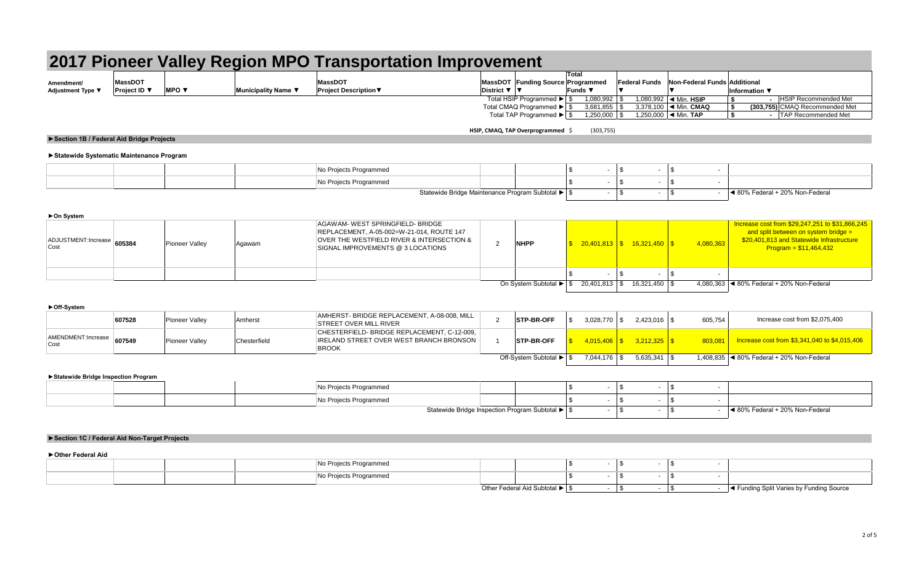|                          | 2017 Pioneer Valley Region MPO Transportation Improvement |                                 |                     |                              |                            |                                   |                                           |  |                                            |                                  |  |  |
|--------------------------|-----------------------------------------------------------|---------------------------------|---------------------|------------------------------|----------------------------|-----------------------------------|-------------------------------------------|--|--------------------------------------------|----------------------------------|--|--|
|                          |                                                           |                                 |                     |                              |                            |                                   | Total                                     |  |                                            |                                  |  |  |
| Amendment/               | <b>MassDOT</b>                                            |                                 |                     | <b>MassDOT</b>               |                            | MassDOT Funding Source Programmed |                                           |  | Federal Funds Non-Federal Funds Additional |                                  |  |  |
| <b>Adjustment Type \</b> | Project ID ▼                                              | <b>MPO</b> $\blacktriangledown$ | Municipality Name ▼ | <b>Project Description ▼</b> | District $\nabla$ $\nabla$ |                                   | $\blacksquare$ Funds $\blacktriangledown$ |  |                                            | Information $\blacktriangledown$ |  |  |
|                          |                                                           |                                 |                     |                              |                            | Total HSIP Programmed ▶ S         | 1,080,992                                 |  | 1,080,992   ◀ Min. HSIP                    | <b>HSIP Recommended Met</b>      |  |  |
|                          |                                                           |                                 |                     |                              |                            | Total CMAQ Programmed ▶ S         | 3,681,855                                 |  | 3,378,100 $\blacktriangleleft$ Min. CMAQ   | (303.755) CMAQ Recommended Met   |  |  |
|                          |                                                           |                                 |                     |                              |                            | Total TAP Programmed ▶ S          | 1,250,000                                 |  | 1,250,000  ◀ Min. TAP                      | <b>TAP Recommended Met</b>       |  |  |

**HSIP, CMAQ, TAP Overprogrammed** \$ (303,755)

### **►Section 1B / Federal Aid Bridge Projects**

#### **►Statewide Systematic Maintenance Program**

|  |  | pjects Programmed   |                                                 |  |                                 |
|--|--|---------------------|-------------------------------------------------|--|---------------------------------|
|  |  | Projects Programmed |                                                 |  |                                 |
|  |  |                     | Statewide Bridge Maintenance Program Subtotal ▶ |  | I 80% Federal + 20% Non-Federal |

#### **►On System**

| ADJUSTMENT:Increase 605384<br>Cost | <b>Pioneer Valley</b> | Aqawam | AGAWAM-WEST SPRINGFIELD-BRIDGE<br>REPLACEMENT, A-05-002=W-21-014, ROUTE 147<br>OVER THE WESTFIELD RIVER & INTERSECTION &<br>SIGNAL IMPROVEMENTS @ 3 LOCATIONS | <b>NHPP</b>                                                   | $\frac{1}{5}$ 20,401,813 \$ 16,321,450 \$ |               | 4,080,363 | Increase cost from \$29,247,251 to \$31,866,245<br>and split between on system bridge $=$<br>\$20,401,813 and Statewide Infrastructure<br>$Program = $11,464,432$ |
|------------------------------------|-----------------------|--------|---------------------------------------------------------------------------------------------------------------------------------------------------------------|---------------------------------------------------------------|-------------------------------------------|---------------|-----------|-------------------------------------------------------------------------------------------------------------------------------------------------------------------|
|                                    |                       |        |                                                                                                                                                               |                                                               |                                           |               |           |                                                                                                                                                                   |
|                                    |                       |        |                                                                                                                                                               | On System Subtotal $\blacktriangleright$   \$ 20,401,813   \$ |                                           | 16,321,450 \$ |           | 4,080,363 $\blacktriangleleft$ 80% Federal + 20% Non-Federal                                                                                                      |

#### **►Off-System**

|                                    | 607528 | <b>Pioneer Valley</b> | Amherst      | AMHERST- BRIDGE REPLACEMENT, A-08-008, MILL<br><b>STREET OVER MILL RIVER</b>                                 | <b>STP-BR-OFF</b>       | 3.028.770 |                  | 605,754 | Increase cost from \$2.075.400                          |
|------------------------------------|--------|-----------------------|--------------|--------------------------------------------------------------------------------------------------------------|-------------------------|-----------|------------------|---------|---------------------------------------------------------|
| AMENDMENT: Increase 607549<br>Cost |        | <b>Pioneer Valley</b> | Chesterfield | CHESTERFIELD-BRIDGE REPLACEMENT. C-12-009.<br><b>IRELAND STREET OVER WEST BRANCH BRONSON</b><br><b>BROOK</b> | <b>STP-BR-OFF</b>       |           |                  |         | 803.081   Increase cost from \$3,341,040 to \$4,015,406 |
|                                    |        |                       |              |                                                                                                              | Off-System Subtotal ▶ S | 7.044.176 | $5.635.341$ \ \$ |         | 1.408.835   ◀ 80% Federal + 20% Non-Federal             |

#### **►Statewide Bridge Inspection Program**

|  |  | No Projects Programmed |                                                  |  |  |                                                    |
|--|--|------------------------|--------------------------------------------------|--|--|----------------------------------------------------|
|  |  | No Projects Programmed |                                                  |  |  |                                                    |
|  |  |                        | Statewide Bridge Inspection Program Subtotal ▶ S |  |  | $\blacktriangleleft$ 80% Federal + 20% Non-Federal |

### **►Section 1C / Federal Aid Non-Target Projects**

#### **►Other Federal Aid**

|  |  | Programmed                                    |  |  |  |                                                                                                  |
|--|--|-----------------------------------------------|--|--|--|--------------------------------------------------------------------------------------------------|
|  |  | <b><i>Planetanone and</i></b><br>∵ Programmeu |  |  |  |                                                                                                  |
|  |  |                                               |  |  |  | a Calit Varios I<br>ding Source<br>$\blacktriangleleft$ runung opin<br>$\ldots$ valies Dy in the |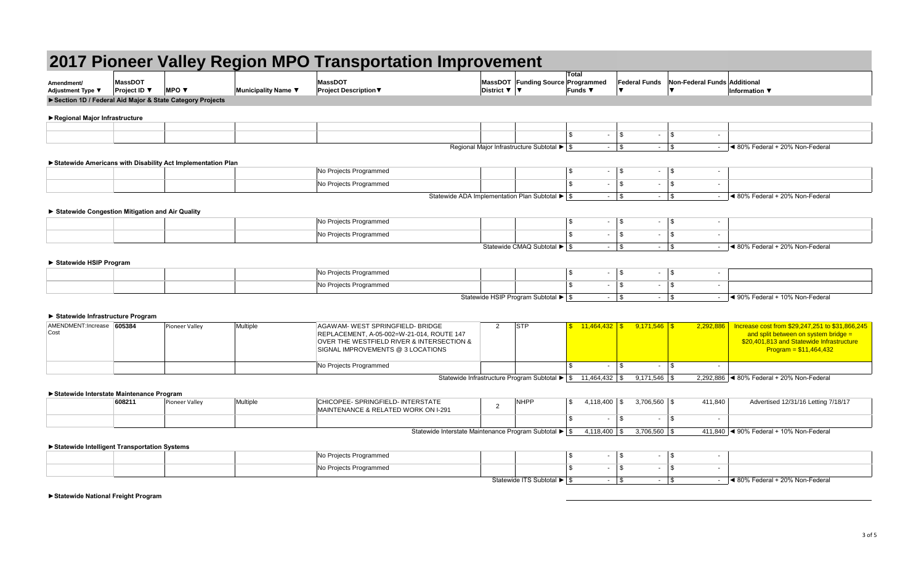#### **Amendment/ Adjustment Type ▼ MassDOT Project ID ▼ MPO ▼ Municipality Name ▼ MassDOT Project Description**▼ **MassDOT Funding Source Programmed District** ▼ ▼ **Total Funds** ▼ **Federal Funds**  ▼ **Non-Federal Funds Additional**  ▼ **2017 Pioneer Valley Region MPO Transportation Improvement Information ▼**   $\text{\$} \qquad \text{\$} \qquad \text{\$} \qquad \text{\$} \qquad \text{\$} \qquad \text{\$}$  $\text{\$} \qquad \text{\$} \qquad \text{\$} \qquad \text{\$} \qquad \text{\$} \qquad \text{\$}$ No Projects Programmed and the set of the set of the set of the set of the set of the set of the set of the set of the set of the set of the set of the set of the set of the set of the set of the set of the set of the set No Projects Programmed and the set of the set of the set of the set of the set of the set of the set of the set of the set of the set of the set of the set of the set of the set of the set of the set of the set of the set  $\text{\$} \qquad \text{\$} \qquad \text{\$} \qquad \text{\$} \qquad \text{\$} \qquad \text{\$}$ No Projects Programmed and the set of the set of the set of the set of the set of the set of the set of the set of the set of the set of the set of the set of the set of the set of the set of the set of the set of the set No Projects Programmed the set of the set of the set of the set of the set of the set of the set of the set of the set of the set of the set of the set of the set of the set of the set of the set of the set of the set of t  $\text{\$} \qquad \text{\$} \qquad \text{\$} \qquad \text{\$} \qquad \text{\$} \qquad \text{\$}$ No Projects Programmed \$ - \$ - \$ - No Projects Programmed and the set of the set of the set of the set of the set of the set of the set of the set of the set of the set of the set of the set of the set of the set of the set of the set of the set of the set \$ - \$ - \$ - AMENDMENT:Increase 605384 Cost Pioneer Valley Multiple **Multiple AGAWAM- WEST SPRINGFIELD- BRIDGE** REPLACEMENT, A-05-002=W-21-014, ROUTE 147 OVER THE WESTFIELD RIVER & INTERSECTION & SIGNAL IMPROVEMENTS @ 3 LOCATIONS 2 STP \$ 11,464,432 \$ 9,171,546 \$ 2,292,886 No Projects Programmed **1992 1993 1994 1995 1996 1996 1996 1996 1996 1996 1996 1996 1996 1996 1996 1996 1996 1996 1996 1996 1996 1996 1996 1996 1996 1996 1996 1996 19** Statewide Infrastructure Program Subtotal ▶ | \$ 11,464,432 | \$ 9,171,546 | \$ 2,292,886 | ◀ 80% Federal + 20% Non-Federal **►Section 1D / Federal Aid Major & State Category Projects ►Regional Major Infrastructure** Regional Major Infrastructure Subtotal ▶ | \$ 160% Federal + 20% Non-Federal + 20% Non-Federal **►Statewide Americans with Disability Act Implementation Plan** Statewide ADA Implementation Plan Subtotal ▶ \$ - \$ - \$ - < 80% Federal + 20% Non-Federal **► Statewide Congestion Mitigation and Air Quality** Statewide CMAQ Subtotal ► \$ - \$ - \$ - 180% Federal + 20% Non-Federal **► Statewide HSIP Program** Statewide HSIP Program Subtotal ▶ \$ - \$ - \$ - 10% Federal + 10% Non-Federal **► Statewide Infrastructure Program** Increase cost from \$29,247,251 to \$31,866,245 and split between on system bridge  $=$ \$20,401,813 and Statewide Infrastructure Program = \$11,464,432 **►Statewide Interstate Maintenance Program**

| . טושטט ו טטוושטוועטווענט שטווון שטוויוט של |        |                |                 |                                                                                   |     |                    |                    |         |                                                              |  |
|---------------------------------------------|--------|----------------|-----------------|-----------------------------------------------------------------------------------|-----|--------------------|--------------------|---------|--------------------------------------------------------------|--|
|                                             | 608211 | Pioneer Valley | <b>Multiple</b> | CHICOPEE-SPRINGFIELD-INTERSTATE<br><b>MAINTENANCE &amp; RELATED WORK ON I-291</b> | NHP | ,118,400           | 3,706,560 \$       | 411,840 | Advertised 12/31/16 Letting 7/18/17                          |  |
|                                             |        |                |                 |                                                                                   |     |                    |                    |         |                                                              |  |
|                                             |        |                |                 | Statewide Interstate Maintenance Program Subtotal $\blacktriangleright$ S         |     | $1118100$ $\sigma$ | $3,706,560$ $\ell$ |         | $111.810$ $\blacktriangleleft$ 00% Eederal + 10% Non-Eederal |  |

#### Statewide Interstate Maintenance Program Subtotal ▶ \$4,118,400 | \$3,706,560 | \$411,840 | ◀ 90% Federal + 10% Non-Federal

#### **►Statewide Intelligent Transportation Systems**

|  | No Projects Programmed                                |                            |  |  |                                        |
|--|-------------------------------------------------------|----------------------------|--|--|----------------------------------------|
|  | No Projects Programmed<br>$\sim$ $\sim$ $\sim$ $\sim$ |                            |  |  |                                        |
|  |                                                       | Statewide ITS Subtotal ▶ S |  |  | <b>4</b> 80% Federal + 20% Non-Federal |

**►Statewide National Freight Program**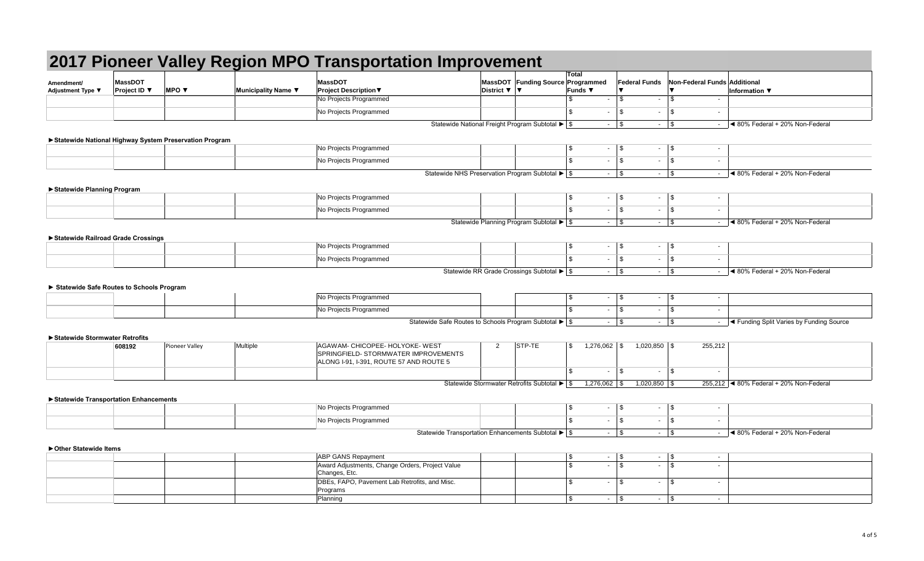|                                          |                                |                                                          |                     |                                                                         |              |                                                    | Total                             |                                           |                              |                                                                                                                                                                                                                                     |
|------------------------------------------|--------------------------------|----------------------------------------------------------|---------------------|-------------------------------------------------------------------------|--------------|----------------------------------------------------|-----------------------------------|-------------------------------------------|------------------------------|-------------------------------------------------------------------------------------------------------------------------------------------------------------------------------------------------------------------------------------|
| Amendment/<br>Adjustment Type ▼          | <b>MassDOT</b><br>Project ID ▼ | <b>MPO ▼</b>                                             | Municipality Name ▼ | <b>MassDOT</b><br><b>Project Description ▼</b>                          | District ▼ ▼ | MassDOT Funding Source Programmed                  | Funds ▼                           | <b>Federal Funds</b>                      | Non-Federal Funds Additional | Information ▼                                                                                                                                                                                                                       |
|                                          |                                |                                                          |                     | No Projects Programmed                                                  |              |                                                    | $\mathbf{s}$<br>$\sim$            | $\overline{\mathbb{S}}$<br>$\blacksquare$ | \$                           |                                                                                                                                                                                                                                     |
|                                          |                                |                                                          |                     | No Projects Programmed                                                  |              |                                                    | \$<br>$\sim$                      | \$<br>$\blacksquare$                      | \$                           |                                                                                                                                                                                                                                     |
|                                          |                                |                                                          |                     |                                                                         |              | Statewide National Freight Program Subtotal ▶ \$   |                                   | $-$ \$<br>$\sim$                          | <b>\$</b>                    | $-$ 4 80% Federal + 20% Non-Federal                                                                                                                                                                                                 |
|                                          |                                |                                                          |                     |                                                                         |              |                                                    |                                   |                                           |                              |                                                                                                                                                                                                                                     |
|                                          |                                | ▶ Statewide National Highway System Preservation Program |                     |                                                                         |              |                                                    |                                   | $\blacksquare$                            |                              |                                                                                                                                                                                                                                     |
|                                          |                                |                                                          |                     | No Projects Programmed                                                  |              |                                                    | \$                                | $-1$ \$                                   | \$<br>$\sim$                 |                                                                                                                                                                                                                                     |
|                                          |                                |                                                          |                     | No Projects Programmed                                                  |              |                                                    | \$<br>$\sim$                      | $\mathfrak{S}$<br>$\sim$                  | \$<br>$\sim$                 |                                                                                                                                                                                                                                     |
|                                          |                                |                                                          |                     |                                                                         |              | Statewide NHS Preservation Program Subtotal ▶   \$ |                                   | $\sim$                                    | $\sqrt{3}$                   | $-$ 4 80% Federal + 20% Non-Federal                                                                                                                                                                                                 |
| ▶ Statewide Planning Program             |                                |                                                          |                     |                                                                         |              |                                                    |                                   |                                           |                              |                                                                                                                                                                                                                                     |
|                                          |                                |                                                          |                     | No Projects Programmed                                                  |              |                                                    | \$                                | $-$ \$<br>$\sim$                          | <b>\$</b><br>$\sim$          |                                                                                                                                                                                                                                     |
|                                          |                                |                                                          |                     | No Projects Programmed                                                  |              |                                                    | \$<br>$\sim$                      | \$<br>$\blacksquare$                      | \$<br>$\sim$                 |                                                                                                                                                                                                                                     |
|                                          |                                |                                                          |                     |                                                                         |              | Statewide Planning Program Subtotal ▶ \$           |                                   | $-1$ \$<br>$\sim$                         | $\sqrt{3}$                   | $-$ 4 80% Federal + 20% Non-Federal                                                                                                                                                                                                 |
|                                          |                                |                                                          |                     |                                                                         |              |                                                    |                                   |                                           |                              |                                                                                                                                                                                                                                     |
| Statewide Railroad Grade Crossings       |                                |                                                          |                     | No Projects Programmed                                                  |              |                                                    | \$<br>$\sim$                      | l \$<br>$\blacksquare$                    | \$<br>$\sim$                 |                                                                                                                                                                                                                                     |
|                                          |                                |                                                          |                     |                                                                         |              |                                                    |                                   |                                           |                              |                                                                                                                                                                                                                                     |
|                                          |                                |                                                          |                     | No Projects Programmed                                                  |              |                                                    | $\overline{\mathbf{s}}$<br>$\sim$ | $\overline{\mathbb{S}}$<br>$\blacksquare$ | \$<br>$\sim$                 |                                                                                                                                                                                                                                     |
|                                          |                                |                                                          |                     |                                                                         |              | Statewide RR Grade Crossings Subtotal ▶ \$         |                                   | $-1$ \$                                   |                              | $-$ 4 80% Federal + 20% Non-Federal                                                                                                                                                                                                 |
| Statewide Safe Routes to Schools Program |                                |                                                          |                     |                                                                         |              |                                                    |                                   |                                           |                              |                                                                                                                                                                                                                                     |
|                                          |                                |                                                          |                     | No Projects Programmed                                                  |              |                                                    | \$                                | $-$ \$<br>$\blacksquare$                  | \$<br>$\sim$                 |                                                                                                                                                                                                                                     |
|                                          |                                |                                                          |                     | No Projects Programmed                                                  |              |                                                    | \$                                | $-1$ \$<br>$\sim$                         | \$<br>$\sim$                 |                                                                                                                                                                                                                                     |
|                                          |                                |                                                          |                     | Statewide Safe Routes to Schools Program Subtotal ▶ \$                  |              |                                                    |                                   | $-1$ \$<br>$\sim$                         | \$                           | - <a> - <a> I<br/> <a> I<br/> <a> I<br/> <a> I<br/> <a> I<br/> <a> I<br/> <a> I<br/> <a> I<br/> <a> I<br/> <a> I<br/> <a> I<br/> <a> I<br/> &lt;<a> I<br/>&lt;</a> I<br/>Source</a></a></a></a></a></a></a></a></a></a></a></a></a> |
|                                          |                                |                                                          |                     |                                                                         |              |                                                    |                                   |                                           |                              |                                                                                                                                                                                                                                     |
| ▶ Statewide Stormwater Retrofits         |                                |                                                          |                     |                                                                         |              |                                                    |                                   |                                           |                              |                                                                                                                                                                                                                                     |
|                                          | 608192                         | <b>Pioneer Valley</b>                                    | Multiple            | AGAWAM- CHICOPEE- HOLYOKE- WEST<br>SPRINGFIELD- STORMWATER IMPROVEMENTS | 2            | STP-TE                                             | $1,276,062$ \$<br>\$              | $1,020,850$ \$                            | 255,212                      |                                                                                                                                                                                                                                     |
|                                          |                                |                                                          |                     | ALONG I-91, I-391, ROUTE 57 AND ROUTE 5                                 |              |                                                    |                                   |                                           |                              |                                                                                                                                                                                                                                     |
|                                          |                                |                                                          |                     |                                                                         |              |                                                    | \$<br>$\sim$                      | $\mathbf{s}$<br>$\blacksquare$            | \$                           |                                                                                                                                                                                                                                     |
|                                          |                                |                                                          |                     |                                                                         |              | Statewide Stormwater Retrofits Subtotal ▶ S        | $1,276,062$ \$                    | $1,020,850$ \$                            |                              | 255,212 4 80% Federal + 20% Non-Federal                                                                                                                                                                                             |
|                                          |                                |                                                          |                     |                                                                         |              |                                                    |                                   |                                           |                              |                                                                                                                                                                                                                                     |
| Statewide Transportation Enhancements    |                                |                                                          |                     | No Projects Programmed                                                  |              |                                                    | \$                                | $\blacksquare$                            | \$<br>$\sim$                 |                                                                                                                                                                                                                                     |
|                                          |                                |                                                          |                     |                                                                         |              |                                                    | \$                                |                                           |                              |                                                                                                                                                                                                                                     |
|                                          |                                |                                                          |                     | No Projects Programmed                                                  |              |                                                    | $\sim$                            | $\mathfrak{S}$<br>$\sim$ $-$              | \$<br>$\sim$                 |                                                                                                                                                                                                                                     |
|                                          |                                |                                                          |                     | Statewide Transportation Enhancements Subtotal ▶ \$                     |              |                                                    |                                   | $-1$ \$<br>$\sim$                         | - \$                         | $-$ 4 80% Federal + 20% Non-Federal                                                                                                                                                                                                 |
| ▶ Other Statewide Items                  |                                |                                                          |                     |                                                                         |              |                                                    |                                   |                                           |                              |                                                                                                                                                                                                                                     |
|                                          |                                |                                                          |                     | <b>ABP GANS Repayment</b>                                               |              |                                                    | \$                                | $-1$ \$<br>$\sim$                         | - \$<br>$\sim$               |                                                                                                                                                                                                                                     |
|                                          |                                |                                                          |                     | Award Adjustments, Change Orders, Project Value<br>Changes, Etc.        |              |                                                    | \$<br>$\sim$                      | $\mathbf{s}$<br>$\sim$                    | $\mathbf{s}$<br>$\sim$       |                                                                                                                                                                                                                                     |
|                                          |                                |                                                          |                     | DBEs, FAPO, Pavement Lab Retrofits, and Misc.                           |              |                                                    | $$\mathbb{S}$$                    | $\sim$                                    | \$<br>$\sim$                 |                                                                                                                                                                                                                                     |
|                                          |                                |                                                          |                     | Programs                                                                |              |                                                    |                                   |                                           |                              |                                                                                                                                                                                                                                     |
|                                          |                                |                                                          |                     | Planning                                                                |              |                                                    | \$                                | $-1$ \$<br>$\sim$                         | \$<br>$\sim$                 |                                                                                                                                                                                                                                     |

#### 4 of 5